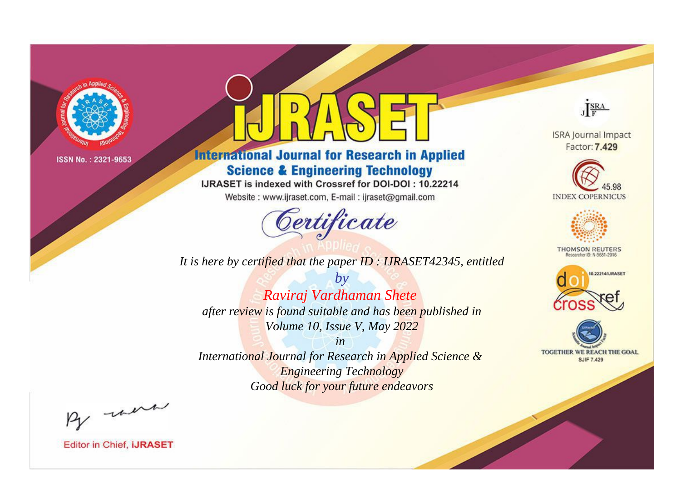

## **International Journal for Research in Applied Science & Engineering Technology**

IJRASET is indexed with Crossref for DOI-DOI: 10.22214

Website: www.ijraset.com, E-mail: ijraset@gmail.com

# Certificate

JERA

**ISRA Journal Impact** Factor: 7.429





**THOMSON REUTERS** 





*It is here by certified that the paper ID : IJRASET42345, entitled*

*by Raviraj Vardhaman Shete after review is found suitable and has been published in Volume 10, Issue V, May 2022*

*in* 

*International Journal for Research in Applied Science & Engineering Technology Good luck for your future endeavors*

By now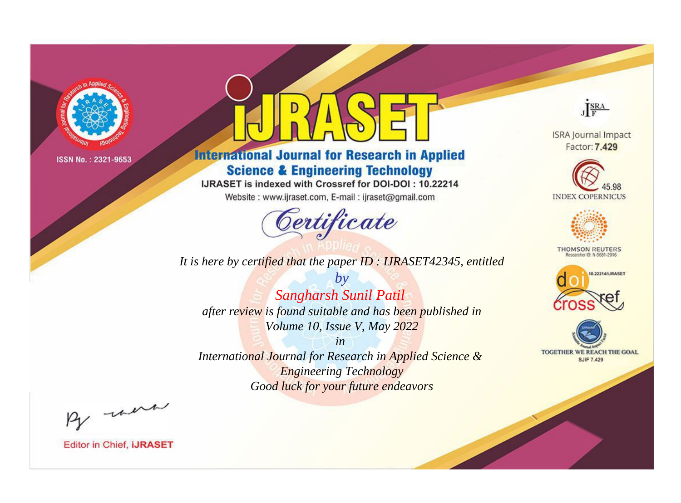

## **International Journal for Research in Applied Science & Engineering Technology**

IJRASET is indexed with Crossref for DOI-DOI: 10.22214

Website: www.ijraset.com, E-mail: ijraset@gmail.com

# Certificate

JERA

**ISRA Journal Impact** Factor: 7.429





**THOMSON REUTERS** 





*It is here by certified that the paper ID : IJRASET42345, entitled*

*by Sangharsh Sunil Patil after review is found suitable and has been published in Volume 10, Issue V, May 2022*

*in* 

*International Journal for Research in Applied Science & Engineering Technology Good luck for your future endeavors*

By now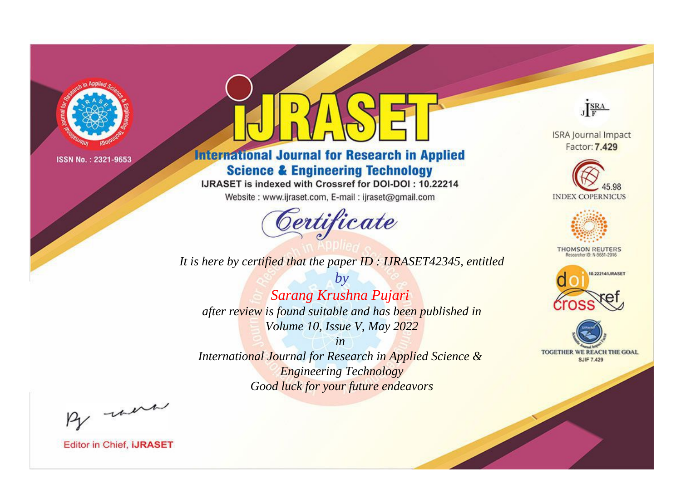

## **International Journal for Research in Applied Science & Engineering Technology**

IJRASET is indexed with Crossref for DOI-DOI: 10.22214

Website: www.ijraset.com, E-mail: ijraset@gmail.com

# Certificate



**ISRA Journal Impact** Factor: 7.429





**THOMSON REUTERS** 



TOGETHER WE REACH THE GOAL **SJIF 7.429** 

It is here by certified that the paper ID: IJRASET42345, entitled

 $by$ Sarang Krushna Pujari after review is found suitable and has been published in Volume 10, Issue V, May 2022

 $in$ International Journal for Research in Applied Science & **Engineering Technology** Good luck for your future endeavors

By morn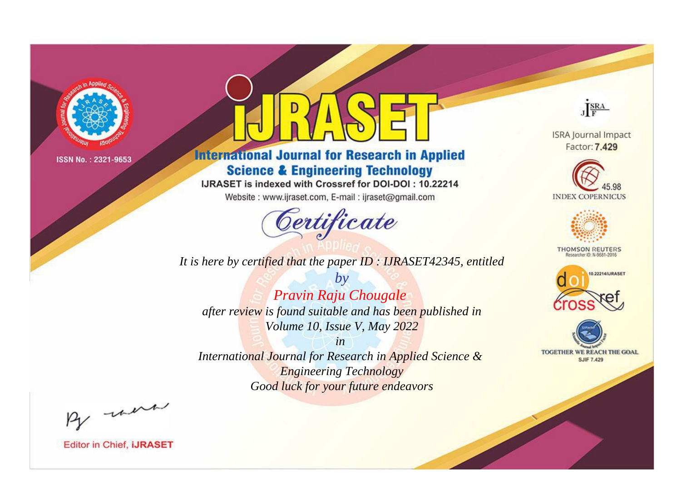

## **International Journal for Research in Applied Science & Engineering Technology**

IJRASET is indexed with Crossref for DOI-DOI: 10.22214

Website: www.ijraset.com, E-mail: ijraset@gmail.com

# Certificate

JERA

**ISRA Journal Impact** Factor: 7.429





**THOMSON REUTERS** 



TOGETHER WE REACH THE GOAL **SJIF 7.429** 

It is here by certified that the paper ID: IJRASET42345, entitled

 $by$ Pravin Raju Chougale after review is found suitable and has been published in Volume 10, Issue V, May 2022

 $in$ International Journal for Research in Applied Science & **Engineering Technology** Good luck for your future endeavors

By morn